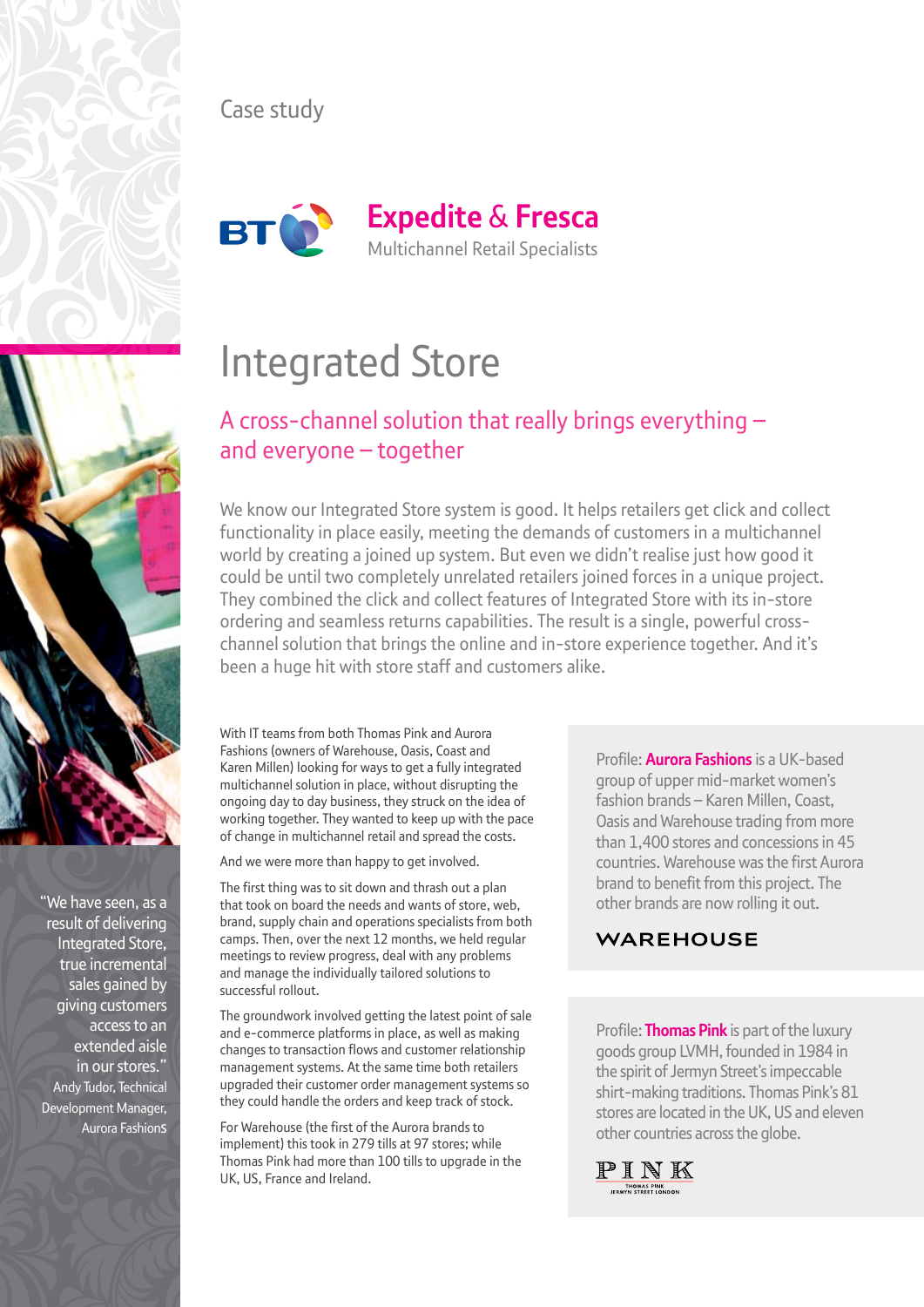

## Case study



# Integrated Store

## A cross-channel solution that really brings everything – and everyone – together

We know our Integrated Store system is good. It helps retailers get click and collect functionality in place easily, meeting the demands of customers in a multichannel world by creating a joined up system. But even we didn't realise just how good it could be until two completely unrelated retailers joined forces in a unique project. They combined the click and collect features of Integrated Store with its in-store ordering and seamless returns capabilities. The result is a single, powerful crosschannel solution that brings the online and in-store experience together. And it's been a huge hit with store staff and customers alike.

With IT teams from both Thomas Pink and Aurora Fashions (owners of Warehouse, Oasis, Coast and Karen Millen) looking for ways to get a fully integrated multichannel solution in place, without disrupting the ongoing day to day business, they struck on the idea of working together. They wanted to keep up with the pace of change in multichannel retail and spread the costs.

And we were more than happy to get involved.

The first thing was to sit down and thrash out a plan that took on board the needs and wants of store, web, brand, supply chain and operations specialists from both camps. Then, over the next 12 months, we held regular meetings to review progress, deal with any problems and manage the individually tailored solutions to successful rollout.

The groundwork involved getting the latest point of sale and e-commerce platforms in place, as well as making changes to transaction flows and customer relationship management systems. At the same time both retailers upgraded their customer order management systems so they could handle the orders and keep track of stock.

For Warehouse (the first of the Aurora brands to implement) this took in 279 tills at 97 stores; while Thomas Pink had more than 100 tills to upgrade in the UK, US, France and Ireland.

Profile: **Aurora Fashions** is a UK-based group of upper mid-market women's fashion brands – Karen Millen, Coast, Oasis and Warehouse trading from more than 1,400 stores and concessions in 45 countries. Warehouse was the first Aurora brand to benefit from this project. The other brands are now rolling it out.

### **WAREHOUSE**

Profile: **Thomas Pink** is part of the luxury goods group LVMH, founded in 1984 in the spirit of Jermyn Street's impeccable shirt-making traditions. Thomas Pink's 81 stores are located in the UK, US and eleven other countries across the globe.





"We have seen, as a result of delivering Integrated Store, true incremental sales gained by giving customers access to an extended aisle in our stores." Andy Tudor, Technical Development Manager, Aurora Fashions